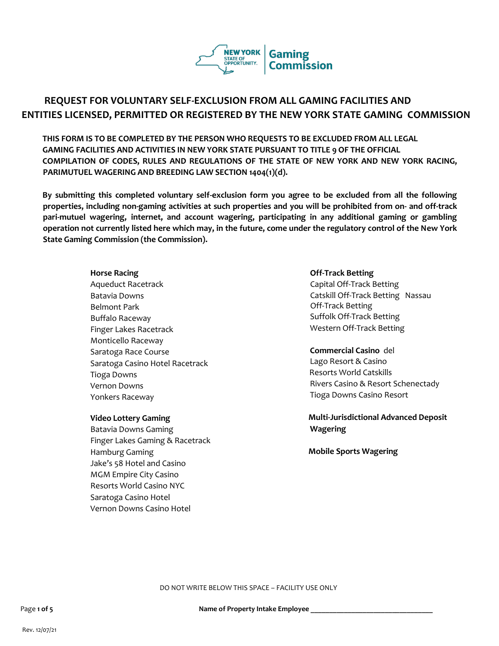

# **REQUEST FOR VOLUNTARY SELF-EXCLUSION FROM ALL GAMING FACILITIES AND ENTITIES LICENSED, PERMITTED OR REGISTERED BY THE NEW YORK STATE GAMING COMMISSION**

**THIS FORM IS TO BE COMPLETED BY THE PERSON WHO REQUESTS TO BE EXCLUDED FROM ALL LEGAL GAMING FACILITIES AND ACTIVITIES IN NEW YORK STATE PURSUANT TO TITLE 9 OF THE OFFICIAL COMPILATION OF CODES, RULES AND REGULATIONS OF THE STATE OF NEW YORK AND NEW YORK RACING, PARIMUTUEL WAGERING AND BREEDING LAW SECTION 1404(1)(d).**

**By submitting this completed voluntary self-exclusion form you agree to be excluded from all the following properties, including non-gaming activities at such properties and you will be prohibited from on- and off-track pari-mutuel wagering, internet, and account wagering, participating in any additional gaming or gambling operation not currently listed here which may, in the future, come under the regulatory control of the New York State Gaming Commission (the Commission).** 

Aqueduct Racetrack Batavia Downs Belmont Park Buffalo Raceway Finger Lakes Racetrack Monticello Raceway Saratoga Race Course Saratoga Casino Hotel Racetrack Tioga Downs Vernon Downs Yonkers Raceway

#### **Video Lottery Gaming**

Batavia Downs Gaming Finger Lakes Gaming & Racetrack Hamburg Gaming Jake's 58 Hotel and Casino MGM Empire City Casino Resorts World Casino NYC Saratoga Casino Hotel Vernon Downs Casino Hotel

#### **Horse Racing Community Community Community Community Community Community Community Community Community Community Community Community Community Community Community Community Community Community Community Community Communit**

Capital Off-Track Betting Catskill Off-Track Betting Nassau Off-Track Betting Suffolk Off-Track Betting Western Off-Track Betting

# **Commercial Casino** del

Lago Resort & Casino Resorts World Catskills Rivers Casino & Resort Schenectady Tioga Downs Casino Resort

# **Multi-Jurisdictional Advanced Deposit Wagering**

**Mobile Sports Wagering**

DO NOT WRITE BELOW THIS SPACE – FACILITY USE ONLY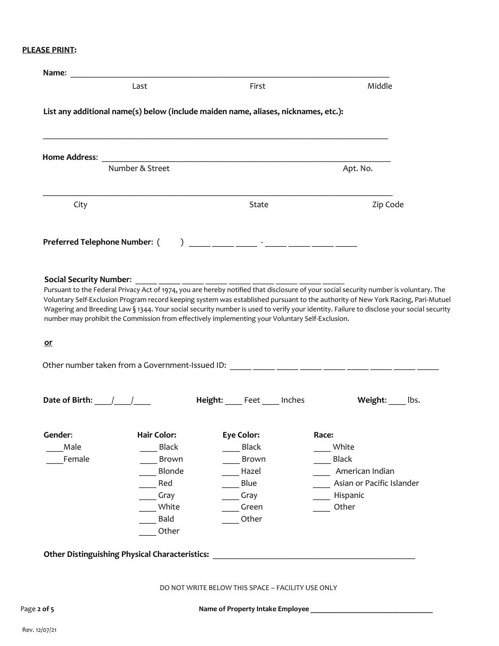# **PLEASE PRINT:**

| Middle                                                                                                                                                                                                                                                                                                                                                                                                               | First                                             | Last                                                                                            |                                                 |
|----------------------------------------------------------------------------------------------------------------------------------------------------------------------------------------------------------------------------------------------------------------------------------------------------------------------------------------------------------------------------------------------------------------------|---------------------------------------------------|-------------------------------------------------------------------------------------------------|-------------------------------------------------|
|                                                                                                                                                                                                                                                                                                                                                                                                                      |                                                   | List any additional name(s) below (include maiden name, aliases, nicknames, etc.):              |                                                 |
|                                                                                                                                                                                                                                                                                                                                                                                                                      |                                                   |                                                                                                 |                                                 |
| Apt. No.                                                                                                                                                                                                                                                                                                                                                                                                             |                                                   | Number & Street                                                                                 |                                                 |
| Zip Code                                                                                                                                                                                                                                                                                                                                                                                                             | State                                             |                                                                                                 | City                                            |
|                                                                                                                                                                                                                                                                                                                                                                                                                      |                                                   |                                                                                                 | <b>Preferred Telephone Number: (</b>            |
|                                                                                                                                                                                                                                                                                                                                                                                                                      |                                                   |                                                                                                 |                                                 |
| Pursuant to the Federal Privacy Act of 1974, you are hereby notified that disclosure of your social security number is voluntary. The<br>Voluntary Self-Exclusion Program record keeping system was established pursuant to the authority of New York Racing, Pari-Mutuel<br>Wagering and Breeding Law § 1344. Your social security number is used to verify your identity. Failure to disclose your social security |                                                   | number may prohibit the Commission from effectively implementing your Voluntary Self-Exclusion. |                                                 |
|                                                                                                                                                                                                                                                                                                                                                                                                                      |                                                   |                                                                                                 | $or$                                            |
|                                                                                                                                                                                                                                                                                                                                                                                                                      |                                                   |                                                                                                 |                                                 |
|                                                                                                                                                                                                                                                                                                                                                                                                                      |                                                   |                                                                                                 |                                                 |
| Weight: lbs.                                                                                                                                                                                                                                                                                                                                                                                                         | Height: Feet Inches                               |                                                                                                 | Date of Birth: $\frac{1}{\sqrt{1-\frac{1}{2}}}$ |
| Race:                                                                                                                                                                                                                                                                                                                                                                                                                | Eye Color:                                        | <b>Hair Color:</b>                                                                              | Gender:                                         |
| White                                                                                                                                                                                                                                                                                                                                                                                                                | <b>Black</b>                                      | <b>Black</b>                                                                                    | Male                                            |
| Black                                                                                                                                                                                                                                                                                                                                                                                                                | Brown                                             | Brown                                                                                           | Female                                          |
| American Indian                                                                                                                                                                                                                                                                                                                                                                                                      | Hazel                                             | Blonde                                                                                          |                                                 |
| Asian or Pacific Islander                                                                                                                                                                                                                                                                                                                                                                                            | Blue                                              | Red                                                                                             |                                                 |
| Hispanic                                                                                                                                                                                                                                                                                                                                                                                                             | Gray                                              | Gray                                                                                            |                                                 |
| Other                                                                                                                                                                                                                                                                                                                                                                                                                | Green                                             | White                                                                                           |                                                 |
|                                                                                                                                                                                                                                                                                                                                                                                                                      | Other                                             | Bald                                                                                            |                                                 |
|                                                                                                                                                                                                                                                                                                                                                                                                                      |                                                   | Other                                                                                           |                                                 |
|                                                                                                                                                                                                                                                                                                                                                                                                                      |                                                   | <b>Other Distinguishing Physical Characteristics:</b>                                           |                                                 |
|                                                                                                                                                                                                                                                                                                                                                                                                                      | DO NOT WRITE BELOW THIS SPACE - FACILITY USE ONLY |                                                                                                 |                                                 |
|                                                                                                                                                                                                                                                                                                                                                                                                                      |                                                   |                                                                                                 |                                                 |

Rev. 12/07/21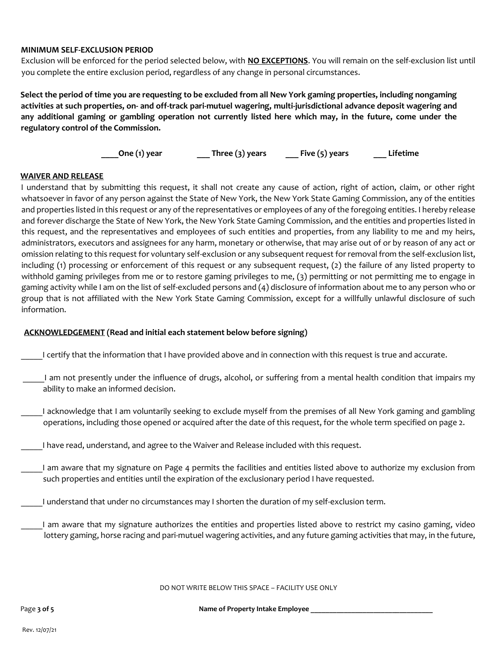# **MINIMUM SELF-EXCLUSION PERIOD**

Exclusion will be enforced for the period selected below, with **NO EXCEPTIONS**. You will remain on the self-exclusion list until you complete the entire exclusion period, regardless of any change in personal circumstances.

**Select the period of time you are requesting to be excluded from all New York gaming properties, including nongaming activities at such properties, on- and off-track pari-mutuel wagering, multi-jurisdictional advance deposit wagering and any additional gaming or gambling operation not currently listed here which may, in the future, come under the regulatory control of the Commission.** 

**\_\_\_\_One (1) year \_\_\_ Three (3) years \_\_\_ Five (5) years \_\_\_ Lifetime** 

### **WAIVER AND RELEASE**

I understand that by submitting this request, it shall not create any cause of action, right of action, claim, or other right whatsoever in favor of any person against the State of New York, the New York State Gaming Commission, any of the entities and properties listed in this request or any of the representatives or employees of any of the foregoing entities. I hereby release and forever discharge the State of New York, the New York State Gaming Commission, and the entities and properties listed in this request, and the representatives and employees of such entities and properties, from any liability to me and my heirs, administrators, executors and assignees for any harm, monetary or otherwise, that may arise out of or by reason of any act or omission relating to this request for voluntary self-exclusion or any subsequent request for removal from the self-exclusion list, including (1) processing or enforcement of this request or any subsequent request, (2) the failure of any listed property to withhold gaming privileges from me or to restore gaming privileges to me, (3) permitting or not permitting me to engage in gaming activity while I am on the list of self-excluded persons and (4) disclosure of information about me to any person who or group that is not affiliated with the New York State Gaming Commission, except for a willfully unlawful disclosure of such information.

# **ACKNOWLEDGEMENT (Read and initial each statement below before signing)**

- \_\_\_\_\_I certify that the information that I have provided above and in connection with this request is true and accurate.
- \_\_\_\_\_I am not presently under the influence of drugs, alcohol, or suffering from a mental health condition that impairs my ability to make an informed decision.
- \_\_\_\_\_I acknowledge that I am voluntarily seeking to exclude myself from the premises of all New York gaming and gambling operations, including those opened or acquired after the date of this request, for the whole term specified on page 2.
- \_\_\_\_\_I have read, understand, and agree to the Waiver and Release included with this request.
	- I am aware that my signature on Page 4 permits the facilities and entities listed above to authorize my exclusion from such properties and entities until the expiration of the exclusionary period I have requested.
- I understand that under no circumstances may I shorten the duration of my self-exclusion term.
- \_\_\_\_\_I am aware that my signature authorizes the entities and properties listed above to restrict my casino gaming, video lottery gaming, horse racing and pari-mutuel wagering activities, and any future gaming activities that may, in the future,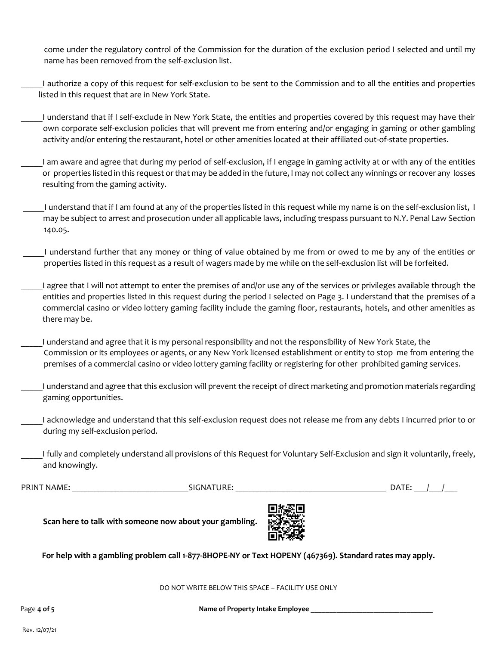come under the regulatory control of the Commission for the duration of the exclusion period I selected and until my name has been removed from the self-exclusion list.

\_\_\_\_\_I authorize a copy of this request for self-exclusion to be sent to the Commission and to all the entities and properties listed in this request that are in New York State.

I understand that if I self-exclude in New York State, the entities and properties covered by this request may have their own corporate self-exclusion policies that will prevent me from entering and/or engaging in gaming or other gambling activity and/or entering the restaurant, hotel or other amenities located at their affiliated out-of-state properties.

\_\_\_\_\_I am aware and agree that during my period of self-exclusion, if I engage in gaming activity at or with any of the entities or properties listed in this request or that may be added in the future, I may not collect any winnings or recover any losses resulting from the gaming activity.

\_\_\_\_\_I understand that if I am found at any of the properties listed in this request while my name is on the self-exclusion list, I may be subject to arrest and prosecution under all applicable laws, including trespass pursuant to N.Y. Penal Law Section 140.05.

I understand further that any money or thing of value obtained by me from or owed to me by any of the entities or properties listed in this request as a result of wagers made by me while on the self-exclusion list will be forfeited.

\_\_\_\_\_I agree that I will not attempt to enter the premises of and/or use any of the services or privileges available through the entities and properties listed in this request during the period I selected on Page 3. I understand that the premises of a commercial casino or video lottery gaming facility include the gaming floor, restaurants, hotels, and other amenities as there may be.

\_\_\_\_\_I understand and agree that it is my personal responsibility and not the responsibility of New York State, the Commission or its employees or agents, or any New York licensed establishment or entity to stop me from entering the premises of a commercial casino or video lottery gaming facility or registering for other prohibited gaming services.

 \_\_\_\_\_I understand and agree that this exclusion will prevent the receipt of direct marketing and promotion materials regarding gaming opportunities.

I acknowledge and understand that this self-exclusion request does not release me from any debts I incurred prior to or during my self-exclusion period.

\_\_\_\_\_I fully and completely understand all provisions of this Request for Voluntary Self-Exclusion and sign it voluntarily, freely, and knowingly.

PRINT NAME: \_\_\_\_\_\_\_\_\_\_\_\_\_\_\_\_\_\_\_\_\_\_\_\_\_\_\_SIGNATURE: \_\_\_\_\_\_\_\_\_\_\_\_\_\_\_\_\_\_\_\_\_\_\_\_\_\_\_\_\_\_\_\_\_\_\_ DATE: \_\_\_/\_\_\_/\_\_\_

**Scan here to talk with someone now about your gambling.** 



**For help with a gambling problem call 1-877-8HOPE-NY or Text HOPENY (467369). Standard rates may apply.**

DO NOT WRITE BELOW THIS SPACE – FACILITY USE ONLY

Page 4 of 5 **be a straight about 1 and 1 straight 1 and 1 straight 1 and 1 straight 1 and 1 straight 1 and 1 straight 1 and 1 straight 1 and 1 straight 1 and 1 straight 1 and 1 straight 1 and 1 straight 1 and 1 straight 1**